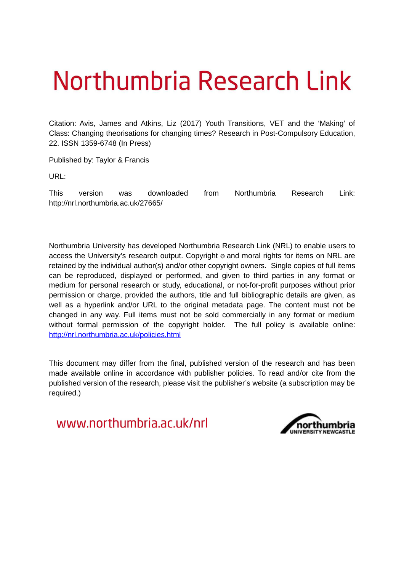# Northumbria Research Link

Citation: Avis, James and Atkins, Liz (2017) Youth Transitions, VET and the 'Making' of Class: Changing theorisations for changing times? Research in Post-Compulsory Education, 22. ISSN 1359-6748 (In Press)

Published by: Taylor & Francis

URL:

This version was downloaded from Northumbria Research Link: http://nrl.northumbria.ac.uk/27665/

Northumbria University has developed Northumbria Research Link (NRL) to enable users to access the University's research output. Copyright  $\circ$  and moral rights for items on NRL are retained by the individual author(s) and/or other copyright owners. Single copies of full items can be reproduced, displayed or performed, and given to third parties in any format or medium for personal research or study, educational, or not-for-profit purposes without prior permission or charge, provided the authors, title and full bibliographic details are given, as well as a hyperlink and/or URL to the original metadata page. The content must not be changed in any way. Full items must not be sold commercially in any format or medium without formal permission of the copyright holder. The full policy is available online: <http://nrl.northumbria.ac.uk/policies.html>

This document may differ from the final, published version of the research and has been made available online in accordance with publisher policies. To read and/or cite from the published version of the research, please visit the publisher's website (a subscription may be required.)

www.northumbria.ac.uk/nrl

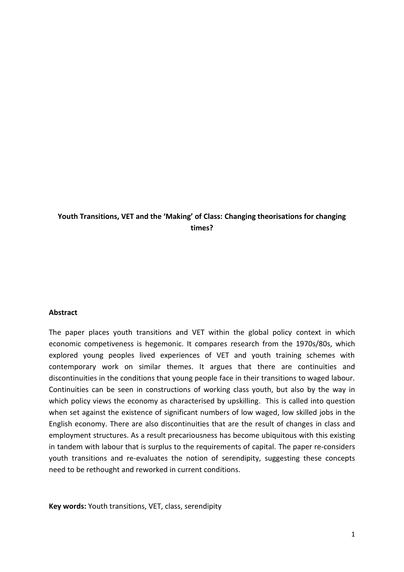## Youth Transitions, VET and the 'Making' of Class: Changing theorisations for changing **times?**

## **Abstract**

The paper places youth transitions and VET within the global policy context in which economic competiveness is hegemonic. It compares research from the 1970s/80s, which explored young peoples lived experiences of VET and youth training schemes with contemporary work on similar themes. It argues that there are continuities and discontinuities in the conditions that young people face in their transitions to waged labour. Continuities can be seen in constructions of working class youth, but also by the way in which policy views the economy as characterised by upskilling. This is called into question when set against the existence of significant numbers of low waged, low skilled jobs in the English economy. There are also discontinuities that are the result of changes in class and employment structures. As a result precariousness has become ubiquitous with this existing in tandem with labour that is surplus to the requirements of capital. The paper re-considers youth transitions and re-evaluates the notion of serendipity, suggesting these concepts need to be rethought and reworked in current conditions.

**Key words:** Youth transitions, VET, class, serendipity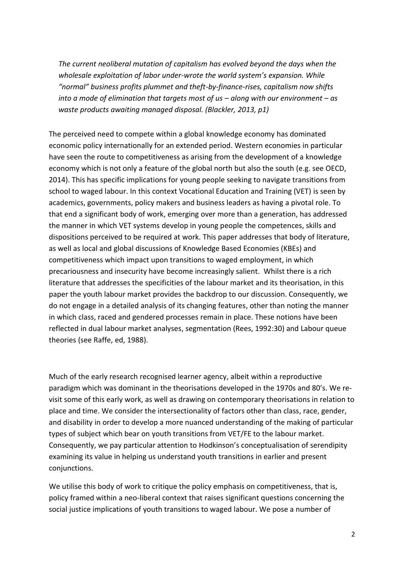*The current neoliberal mutation of capitalism has evolved beyond the days when the wholesale exploitation of labor under-wrote the world system's expansion. While ͞Ŷorŵal͟ ďusiŶess profits pluŵŵet aŶd theft-by-finance-rises, capitalism now shifts into a mode of elimination that targets most of us – along with our environment – as waste products awaiting managed disposal. (Blackler, 2013, p1)* 

The perceived need to compete within a global knowledge economy has dominated economic policy internationally for an extended period. Western economies in particular have seen the route to competitiveness as arising from the development of a knowledge economy which is not only a feature of the global north but also the south (e.g. see OECD, 2014). This has specific implications for young people seeking to navigate transitions from school to waged labour. In this context Vocational Education and Training (VET) is seen by academics, governments, policy makers and business leaders as having a pivotal role. To that end a significant body of work, emerging over more than a generation, has addressed the manner in which VET systems develop in young people the competences, skills and dispositions perceived to be required at work. This paper addresses that body of literature, as well as local and global discussions of Knowledge Based Economies (KBEs) and competitiveness which impact upon transitions to waged employment, in which precariousness and insecurity have become increasingly salient. Whilst there is a rich literature that addresses the specificities of the labour market and its theorisation, in this paper the youth labour market provides the backdrop to our discussion. Consequently, we do not engage in a detailed analysis of its changing features, other than noting the manner in which class, raced and gendered processes remain in place. These notions have been reflected in dual labour market analyses, segmentation (Rees, 1992:30) and Labour queue theories (see Raffe, ed, 1988).

Much of the early research recognised learner agency, albeit within a reproductive paradigm which was dominant in the theorisations developed in the 1970s and 80's. We revisit some of this early work, as well as drawing on contemporary theorisations in relation to place and time. We consider the intersectionality of factors other than class, race, gender, and disability in order to develop a more nuanced understanding of the making of particular types of subject which bear on youth transitions from VET/FE to the labour market. Consequently, we pay particular attention to Hodkinson's conceptualisation of serendipity examining its value in helping us understand youth transitions in earlier and present conjunctions.

We utilise this body of work to critique the policy emphasis on competitiveness, that is, policy framed within a neo-liberal context that raises significant questions concerning the social justice implications of youth transitions to waged labour. We pose a number of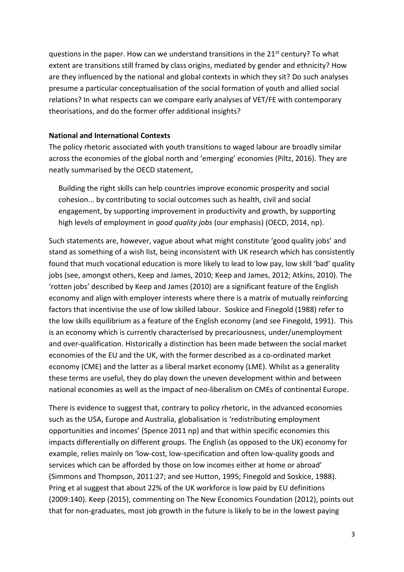questions in the paper. How can we understand transitions in the  $21^{st}$  century? To what extent are transitions still framed by class origins, mediated by gender and ethnicity? How are they influenced by the national and global contexts in which they sit? Do such analyses presume a particular conceptualisation of the social formation of youth and allied social relations? In what respects can we compare early analyses of VET/FE with contemporary theorisations, and do the former offer additional insights?

## **National and International Contexts**

The policy rhetoric associated with youth transitions to waged labour are broadly similar across the economies of the global north and 'emerging' economies (Piltz, 2016). They are neatly summarised by the OECD statement,

Building the right skills can help countries improve economic prosperity and social cohesion... by contributing to social outcomes such as health, civil and social engagement, by supporting improvement in productivity and growth, by supporting high levels of employment in *good quality jobs* (our emphasis) (OECD, 2014, np).

Such statements are, however, vague about what might constitute 'good quality jobs' and stand as something of a wish list, being inconsistent with UK research which has consistently found that much vocational education is more likely to lead to low pay, low skill 'bad' quality jobs (see, amongst others, Keep and James, 2010; Keep and James, 2012; Atkins, 2010). The ͚ƌotteŶ joďs͛ described by Keep and James (2010) are a significant feature of the English economy and align with employer interests where there is a matrix of mutually reinforcing factors that incentivise the use of low skilled labour. Soskice and Finegold (1988) refer to the low skills equilibrium as a feature of the English economy (and see Finegold, 1991). This is an economy which is currently characterised by precariousness, under/unemployment and over-qualification. Historically a distinction has been made between the social market economies of the EU and the UK, with the former described as a co-ordinated market economy (CME) and the latter as a liberal market economy (LME). Whilst as a generality these terms are useful, they do play down the uneven development within and between national economies as well as the impact of neo-liberalism on CMEs of continental Europe.

There is evidence to suggest that, contrary to policy rhetoric, in the advanced economies such as the USA, Europe and Australia, globalisation is 'redistributing employment opportunities and incomes' (Spence 2011 np) and that within specific economies this impacts differentially on different groups. The English (as opposed to the UK) economy for example, relies mainly on 'low-cost, low-specification and often low-quality goods and services which can be afforded by those on low incomes either at home or abroad' (Simmons and Thompson, 2011:27; and see Hutton, 1995; Finegold and Soskice, 1988). Pring et al suggest that about 22% of the UK workforce is low paid by EU definitions (2009:140). Keep (2015), commenting on The New Economics Foundation (2012), points out that for non-graduates, most job growth in the future is likely to be in the lowest paying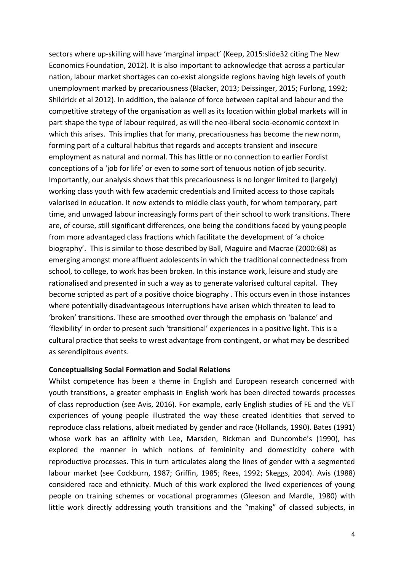sectors where up-skilling will have 'marginal impact' (Keep, 2015:slide32 citing The New Economics Foundation, 2012). It is also important to acknowledge that across a particular nation, labour market shortages can co-exist alongside regions having high levels of youth unemployment marked by precariousness (Blacker, 2013; Deissinger, 2015; Furlong, 1992; Shildrick et al 2012). In addition, the balance of force between capital and labour and the competitive strategy of the organisation as well as its location within global markets will in part shape the type of labour required, as will the neo-liberal socio-economic context in which this arises. This implies that for many, precariousness has become the new norm, forming part of a cultural habitus that regards and accepts transient and insecure employment as natural and normal. This has little or no connection to earlier Fordist conceptions of a 'job for life' or even to some sort of tenuous notion of job security. Importantly, our analysis shows that this precariousness is no longer limited to (largely) working class youth with few academic credentials and limited access to those capitals valorised in education. It now extends to middle class youth, for whom temporary, part time, and unwaged labour increasingly forms part of their school to work transitions. There are, of course, still significant differences, one being the conditions faced by young people from more advantaged class fractions which facilitate the development of 'a choice biography'. This is similar to those described by Ball, Maguire and Macrae (2000:68) as emerging amongst more affluent adolescents in which the traditional connectedness from school, to college, to work has been broken. In this instance work, leisure and study are rationalised and presented in such a way as to generate valorised cultural capital. They become scripted as part of a positive choice biography . This occurs even in those instances where potentially disadvantageous interruptions have arisen which threaten to lead to 'broken' transitions. These are smoothed over through the emphasis on 'balance' and 'flexibility' in order to present such 'transitional' experiences in a positive light. This is a cultural practice that seeks to wrest advantage from contingent, or what may be described as serendipitous events.

#### **Conceptualising Social Formation and Social Relations**

Whilst competence has been a theme in English and European research concerned with youth transitions, a greater emphasis in English work has been directed towards processes of class reproduction (see Avis, 2016). For example, early English studies of FE and the VET experiences of young people illustrated the way these created identities that served to reproduce class relations, albeit mediated by gender and race (Hollands, 1990). Bates (1991) whose work has an affinity with Lee, Marsden, Rickman and Duncombe's (1990), has explored the manner in which notions of femininity and domesticity cohere with reproductive processes. This in turn articulates along the lines of gender with a segmented labour market (see Cockburn, 1987; Griffin, 1985; Rees, 1992; Skeggs, 2004). Avis (1988) considered race and ethnicity. Much of this work explored the lived experiences of young people on training schemes or vocational programmes (Gleeson and Mardle, 1980) with little work directly addressing youth transitions and the "making" of classed subjects, in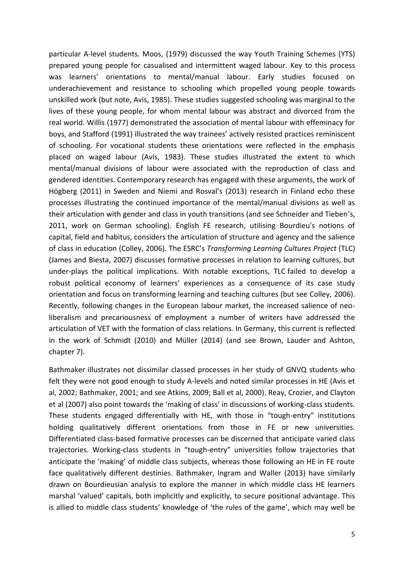particular A-level students. Moos, (1979) discussed the way Youth Training Schemes (YTS) prepared young people for casualised and intermittent waged labour. Key to this process was learners' orientations to mental/manual labour. Early studies focused on underachievement and resistance to schooling which propelled young people towards unskilled work (but note, Avis, 1985). These studies suggested schooling was marginal to the lives of these young people, for whom mental labour was abstract and divorced from the real world. Willis (1977) demonstrated the association of mental labour with effeminacy for boys, and Stafford (1991) illustrated the way trainees' actively resisted practices reminiscent of schooling. For vocational students these orientations were reflected in the emphasis placed on waged labour (Avis, 1983). These studies illustrated the extent to which mental/manual divisions of labour were associated with the reproduction of class and gendered identities. Contemporary research has engaged with these arguments, the work of Högberg (2011) in Sweden and Niemi and Rosval's (2013) research in Finland echo these processes illustrating the continued importance of the mental/manual divisions as well as their articulation with gender and class in youth transitions (and see Schneider and Tieben's, 2011, work on German schooling). English FE research, utilising Bourdieu's notions of capital, field and habitus, considers the articulation of structure and agency and the salience of class in education (Colley, 2006). The ESRC's Transforming Learning Cultures Project (TLC) (James and Biesta, 2007) discusses formative processes in relation to learning cultures, but under-plays the political implications. With notable exceptions, TLC failed to develop a robust political economy of learners' experiences as a consequence of its case study orientation and focus on transforming learning and teaching cultures (but see Colley, 2006). Recently, following changes in the European labour market, the increased salience of neoliberalism and precariousness of employment a number of writers have addressed the articulation of VET with the formation of class relations. In Germany, this current is reflected in the work of Schmidt (2010) and Müller (2014) (and see Brown, Lauder and Ashton, chapter 7).

Bathmaker illustrates not dissimilar classed processes in her study of GNVQ students who felt they were not good enough to study A-levels and noted similar processes in HE (Avis et al, 2002; Bathmaker, 2001; and see Atkins, 2009; Ball et al, 2000). Reay, Crozier, and Clayton et al (2007) also point towards the 'making of class' in discussions of working-class students. These students engaged differentially with HE, with those in "tough-entry" institutions holding qualitatively different orientations from those in FE or new universities. Differentiated class-based formative processes can be discerned that anticipate varied class trajectories. Working-class students in "tough-entry" universities follow trajectories that anticipate the 'making' of middle class subjects, whereas those following an HE in FE route face qualitatively different destinies. Bathmaker, Ingram and Waller (2013) have similarly drawn on Bourdieusian analysis to explore the manner in which middle class HE learners marshal 'valued' capitals, both implicitly and explicitly, to secure positional advantage. This is allied to middle class students' knowledge of 'the rules of the game', which may well be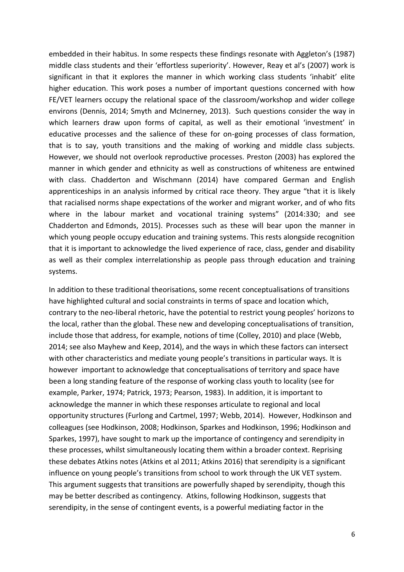embedded in their habitus. In some respects these findings resonate with Aggleton's (1987) middle class students and their 'effortless superiority'. However, Reay et al's (2007) work is significant in that it explores the manner in which working class students 'inhabit' elite higher education. This work poses a number of important questions concerned with how FE/VET learners occupy the relational space of the classroom/workshop and wider college environs (Dennis, 2014; Smyth and McInerney, 2013). Such questions consider the way in which learners draw upon forms of capital, as well as their emotional 'investment' in educative processes and the salience of these for on-going processes of class formation, that is to say, youth transitions and the making of working and middle class subjects. However, we should not overlook reproductive processes. Preston (2003) has explored the manner in which gender and ethnicity as well as constructions of whiteness are entwined with class. Chadderton and Wischmann (2014) have compared German and English apprenticeships in an analysis informed by critical race theory. They argue "that it is likely that racialised norms shape expectations of the worker and migrant worker, and of who fits where in the labour market and vocational training systems" (2014:330; and see Chadderton and Edmonds, 2015). Processes such as these will bear upon the manner in which young people occupy education and training systems. This rests alongside recognition that it is important to acknowledge the lived experience of race, class, gender and disability as well as their complex interrelationship as people pass through education and training systems.

In addition to these traditional theorisations, some recent conceptualisations of transitions have highlighted cultural and social constraints in terms of space and location which, contrary to the neo-liberal rhetoric, have the potential to restrict young peoples' horizons to the local, rather than the global. These new and developing conceptualisations of transition. include those that address, for example, notions of time (Colley, 2010) and place (Webb, 2014; see also Mayhew and Keep, 2014), and the ways in which these factors can intersect with other characteristics and mediate young people's transitions in particular ways. It is however important to acknowledge that conceptualisations of territory and space have been a long standing feature of the response of working class youth to locality (see for example, Parker, 1974; Patrick, 1973; Pearson, 1983). In addition, it is important to acknowledge the manner in which these responses articulate to regional and local opportunity structures (Furlong and Cartmel, 1997; Webb, 2014). However, Hodkinson and colleagues (see Hodkinson, 2008; Hodkinson, Sparkes and Hodkinson, 1996; Hodkinson and Sparkes, 1997), have sought to mark up the importance of contingency and serendipity in these processes, whilst simultaneously locating them within a broader context. Reprising these debates Atkins notes (Atkins et al 2011; Atkins 2016) that serendipity is a significant influence on young people's transitions from school to work through the UK VET system. This argument suggests that transitions are powerfully shaped by serendipity, though this may be better described as contingency. Atkins, following Hodkinson, suggests that serendipity, in the sense of contingent events, is a powerful mediating factor in the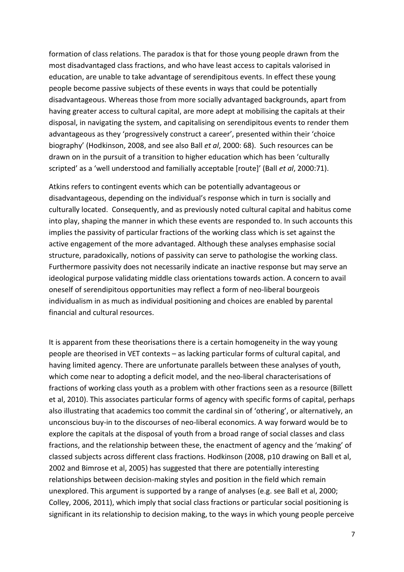formation of class relations. The paradox is that for those young people drawn from the most disadvantaged class fractions, and who have least access to capitals valorised in education, are unable to take advantage of serendipitous events. In effect these young people become passive subjects of these events in ways that could be potentially disadvantageous. Whereas those from more socially advantaged backgrounds, apart from having greater access to cultural capital, are more adept at mobilising the capitals at their disposal, in navigating the system, and capitalising on serendipitous events to render them advantageous as they 'progressively construct a career', presented within their 'choice biography' (Hodkinson, 2008, and see also Ball et al, 2000: 68). Such resources can be drawn on in the pursuit of a transition to higher education which has been 'culturally scripted' as a 'well understood and familially acceptable [route]' (Ball et al, 2000:71).

Atkins refers to contingent events which can be potentially advantageous or disadvantageous, depending on the individual's response which in turn is socially and culturally located. Consequently, and as previously noted cultural capital and habitus come into play, shaping the manner in which these events are responded to. In such accounts this implies the passivity of particular fractions of the working class which is set against the active engagement of the more advantaged. Although these analyses emphasise social structure, paradoxically, notions of passivity can serve to pathologise the working class. Furthermore passivity does not necessarily indicate an inactive response but may serve an ideological purpose validating middle class orientations towards action. A concern to avail oneself of serendipitous opportunities may reflect a form of neo-liberal bourgeois individualism in as much as individual positioning and choices are enabled by parental financial and cultural resources.

It is apparent from these theorisations there is a certain homogeneity in the way young people are theorised in VET contexts - as lacking particular forms of cultural capital, and having limited agency. There are unfortunate parallels between these analyses of youth, which come near to adopting a deficit model, and the neo-liberal characterisations of fractions of working class youth as a problem with other fractions seen as a resource (Billett et al, 2010). This associates particular forms of agency with specific forms of capital, perhaps also illustrating that academics too commit the cardinal sin of 'othering', or alternatively, an unconscious buy-in to the discourses of neo-liberal economics. A way forward would be to explore the capitals at the disposal of youth from a broad range of social classes and class fractions, and the relationship between these, the enactment of agency and the 'making' of classed subjects across different class fractions. Hodkinson (2008, p10 drawing on Ball et al, 2002 and Bimrose et al, 2005) has suggested that there are potentially interesting relationships between decision-making styles and position in the field which remain unexplored. This argument is supported by a range of analyses (e.g. see Ball et al, 2000; Colley, 2006, 2011), which imply that social class fractions or particular social positioning is significant in its relationship to decision making, to the ways in which young people perceive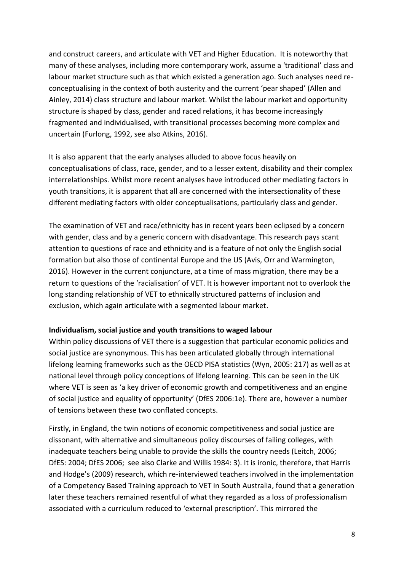and construct careers, and articulate with VET and Higher Education. It is noteworthy that many of these analyses, including more contemporary work, assume a 'traditional' class and labour market structure such as that which existed a generation ago. Such analyses need reconceptualising in the context of both austerity and the current 'pear shaped' (Allen and Ainley, 2014) class structure and labour market. Whilst the labour market and opportunity structure is shaped by class, gender and raced relations, it has become increasingly fragmented and individualised, with transitional processes becoming more complex and uncertain (Furlong, 1992, see also Atkins, 2016).

It is also apparent that the early analyses alluded to above focus heavily on conceptualisations of class, race, gender, and to a lesser extent, disability and their complex interrelationships. Whilst more recent analyses have introduced other mediating factors in youth transitions, it is apparent that all are concerned with the intersectionality of these different mediating factors with older conceptualisations, particularly class and gender.

The examination of VET and race/ethnicity has in recent years been eclipsed by a concern with gender, class and by a generic concern with disadvantage. This research pays scant attention to questions of race and ethnicity and is a feature of not only the English social formation but also those of continental Europe and the US (Avis, Orr and Warmington, 2016). However in the current conjuncture, at a time of mass migration, there may be a return to questions of the 'racialisation' of VET. It is however important not to overlook the long standing relationship of VET to ethnically structured patterns of inclusion and exclusion, which again articulate with a segmented labour market.

## Individualism, social justice and youth transitions to waged labour

Within policy discussions of VET there is a suggestion that particular economic policies and social justice are synonymous. This has been articulated globally through international lifelong learning frameworks such as the OECD PISA statistics (Wyn, 2005: 217) as well as at national level through policy conceptions of lifelong learning. This can be seen in the UK where VET is seen as 'a key driver of economic growth and competitiveness and an engine of social justice and equality of opportunity' (DfES 2006:1e). There are, however a number of tensions between these two conflated concepts.

Firstly, in England, the twin notions of economic competitiveness and social justice are dissonant, with alternative and simultaneous policy discourses of failing colleges, with inadequate teachers being unable to provide the skills the country needs (Leitch, 2006; DfES: 2004; DfES 2006; see also Clarke and Willis 1984: 3). It is ironic, therefore, that Harris and Hodge's (2009) research, which re-interviewed teachers involved in the implementation of a Competency Based Training approach to VET in South Australia, found that a generation later these teachers remained resentful of what they regarded as a loss of professionalism associated with a curriculum reduced to 'external prescription'. This mirrored the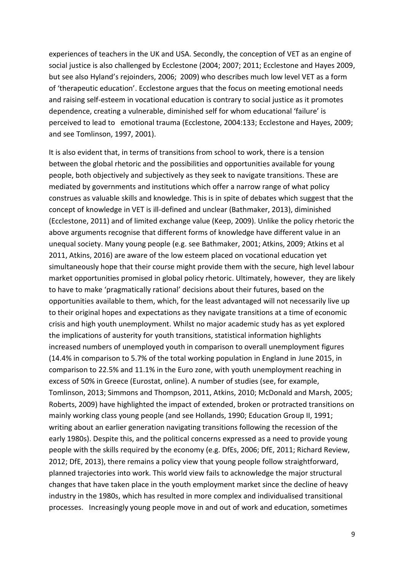experiences of teachers in the UK and USA. Secondly, the conception of VET as an engine of social justice is also challenged by Ecclestone (2004; 2007; 2011; Ecclestone and Hayes 2009, but see also Hyland's rejoinders, 2006; 2009) who describes much low level VET as a form of 'therapeutic education'. Ecclestone argues that the focus on meeting emotional needs and raising self-esteem in vocational education is contrary to social justice as it promotes dependence, creating a vulnerable, diminished self for whom educational 'failure' is perceived to lead to emotional trauma (Ecclestone, 2004:133; Ecclestone and Hayes, 2009; and see Tomlinson, 1997, 2001).

It is also evident that, in terms of transitions from school to work, there is a tension between the global rhetoric and the possibilities and opportunities available for young people, both objectively and subjectively as they seek to navigate transitions. These are mediated by governments and institutions which offer a narrow range of what policy construes as valuable skills and knowledge. This is in spite of debates which suggest that the concept of knowledge in VET is ill-defined and unclear (Bathmaker, 2013), diminished (Ecclestone, 2011) and of limited exchange value (Keep, 2009). Unlike the policy rhetoric the above arguments recognise that different forms of knowledge have different value in an unequal society. Many young people (e.g. see Bathmaker, 2001; Atkins, 2009; Atkins et al 2011, Atkins, 2016) are aware of the low esteem placed on vocational education yet simultaneously hope that their course might provide them with the secure, high level labour market opportunities promised in global policy rhetoric. Ultimately, however, they are likely to have to make 'pragmatically rational' decisions about their futures, based on the opportunities available to them, which, for the least advantaged will not necessarily live up to their original hopes and expectations as they navigate transitions at a time of economic crisis and high youth unemployment. Whilst no major academic study has as yet explored the implications of austerity for youth transitions, statistical information highlights increased numbers of unemployed youth in comparison to overall unemployment figures (14.4% in comparison to 5.7% of the total working population in England in June 2015, in comparison to 22.5% and 11.1% in the Euro zone, with youth unemployment reaching in excess of 50% in Greece (Eurostat, online). A number of studies (see, for example, Tomlinson, 2013; Simmons and Thompson, 2011, Atkins, 2010; McDonald and Marsh, 2005; Roberts, 2009) have highlighted the impact of extended, broken or protracted transitions on mainly working class young people (and see Hollands, 1990; Education Group II, 1991; writing about an earlier generation navigating transitions following the recession of the early 1980s). Despite this, and the political concerns expressed as a need to provide young people with the skills required by the economy (e.g. DfEs, 2006; DfE, 2011; Richard Review, 2012; DfE, 2013), there remains a policy view that young people follow straightforward, planned trajectories into work. This world view fails to acknowledge the major structural changes that have taken place in the youth employment market since the decline of heavy industry in the 1980s, which has resulted in more complex and individualised transitional processes. Increasingly young people move in and out of work and education, sometimes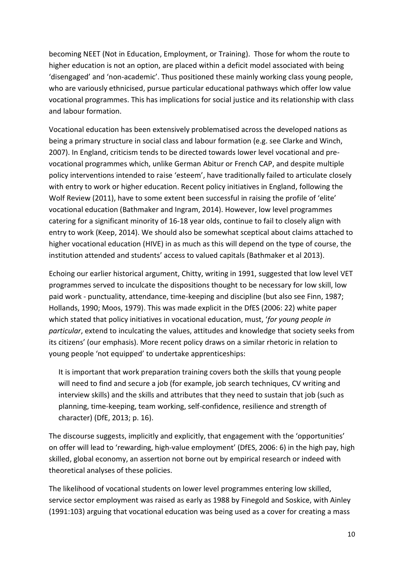becoming NEET (Not in Education, Employment, or Training). Those for whom the route to higher education is not an option, are placed within a deficit model associated with being 'disengaged' and 'non-academic'. Thus positioned these mainly working class young people, who are variously ethnicised, pursue particular educational pathways which offer low value vocational programmes. This has implications for social justice and its relationship with class and labour formation.

Vocational education has been extensively problematised across the developed nations as being a primary structure in social class and labour formation (e.g. see Clarke and Winch, 2007). In England, criticism tends to be directed towards lower level vocational and prevocational programmes which, unlike German Abitur or French CAP, and despite multiple policy interventions intended to raise 'esteem', have traditionally failed to articulate closely with entry to work or higher education. Recent policy initiatives in England, following the Wolf Review (2011), have to some extent been successful in raising the profile of 'elite' vocational education (Bathmaker and Ingram, 2014). However, low level programmes catering for a significant minority of 16-18 year olds, continue to fail to closely align with entry to work (Keep, 2014). We should also be somewhat sceptical about claims attached to higher vocational education (HIVE) in as much as this will depend on the type of course, the institution attended and students' access to valued capitals (Bathmaker et al 2013).

Echoing our earlier historical argument, Chitty, writing in 1991, suggested that low level VET programmes served to inculcate the dispositions thought to be necessary for low skill, low paid work - punctuality, attendance, time-keeping and discipline (but also see Finn, 1987; Hollands, 1990; Moos, 1979). This was made explicit in the DfES (2006: 22) white paper which stated that policy initiatives in vocational education, must, 'for young people in particular, extend to inculcating the values, attitudes and knowledge that society seeks from its citizens' (our emphasis). More recent policy draws on a similar rhetoric in relation to young people 'not equipped' to undertake apprenticeships:

It is important that work preparation training covers both the skills that young people will need to find and secure a job (for example, job search techniques, CV writing and interview skills) and the skills and attributes that they need to sustain that job (such as planning, time-keeping, team working, self-confidence, resilience and strength of character) (DfE, 2013; p. 16).

The discourse suggests, implicitly and explicitly, that engagement with the 'opportunities' on offer will lead to 'rewarding, high-value employment' (DfES, 2006: 6) in the high pay, high skilled, global economy, an assertion not borne out by empirical research or indeed with theoretical analyses of these policies.

The likelihood of vocational students on lower level programmes entering low skilled, service sector employment was raised as early as 1988 by Finegold and Soskice, with Ainley (1991:103) arguing that vocational education was being used as a cover for creating a mass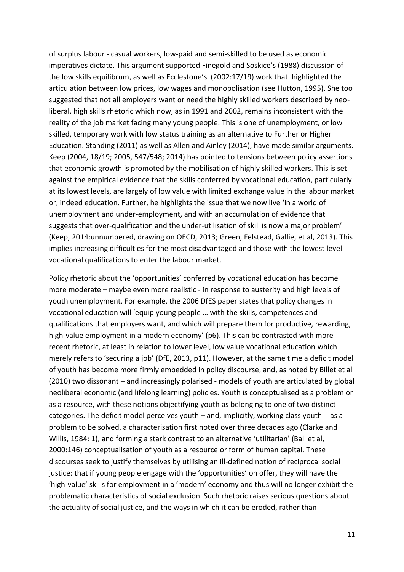of surplus labour - casual workers, low-paid and semi-skilled to be used as economic imperatives dictate. This argument supported Finegold and Soskice's (1988) discussion of the low skills equilibrum, as well as Ecclestone's (2002:17/19) work that highlighted the articulation between low prices, low wages and monopolisation (see Hutton, 1995). She too suggested that not all employers want or need the highly skilled workers described by neoliberal, high skills rhetoric which now, as in 1991 and 2002, remains inconsistent with the reality of the job market facing many young people. This is one of unemployment, or low skilled, temporary work with low status training as an alternative to Further or Higher Education. Standing (2011) as well as Allen and Ainley (2014), have made similar arguments. Keep (2004, 18/19; 2005, 547/548; 2014) has pointed to tensions between policy assertions that economic growth is promoted by the mobilisation of highly skilled workers. This is set against the empirical evidence that the skills conferred by vocational education, particularly at its lowest levels, are largely of low value with limited exchange value in the labour market or, indeed education. Further, he highlights the issue that we now live 'in a world of unemployment and under-employment, and with an accumulation of evidence that suggests that over-qualification and the under-utilisation of skill is now a major problem' (Keep, 2014: unnumbered, drawing on OECD, 2013; Green, Felstead, Gallie, et al, 2013). This implies increasing difficulties for the most disadvantaged and those with the lowest level vocational qualifications to enter the labour market.

Policy rhetoric about the 'opportunities' conferred by vocational education has become more moderate – maybe even more realistic - in response to austerity and high levels of youth unemployment. For example, the 2006 DfES paper states that policy changes in vocational education will 'equip young people ... with the skills, competences and aualifications that employers want, and which will prepare them for productive, rewarding, high-value employment in a modern economy' (p6). This can be contrasted with more recent rhetoric, at least in relation to lower level, low value vocational education which merely refers to 'securing a job' (DfE, 2013, p11). However, at the same time a deficit model of youth has become more firmly embedded in policy discourse, and, as noted by Billet et al (2010) two dissonant – and increasingly polarised - models of youth are articulated by global neoliberal economic (and lifelong learning) policies. Youth is conceptualised as a problem or as a resource, with these notions objectifying youth as belonging to one of two distinct categories. The deficit model perceives youth – and, implicitly, working class youth - as a problem to be solved, a characterisation first noted over three decades ago (Clarke and Willis, 1984: 1), and forming a stark contrast to an alternative 'utilitarian' (Ball et al, 2000:146) conceptualisation of youth as a resource or form of human capital. These discourses seek to justify themselves by utilising an ill-defined notion of reciprocal social justice: that if young people engage with the 'opportunities' on offer, they will have the 'high-value' skills for employment in a 'modern' economy and thus will no longer exhibit the problematic characteristics of social exclusion. Such rhetoric raises serious questions about the actuality of social justice, and the ways in which it can be eroded, rather than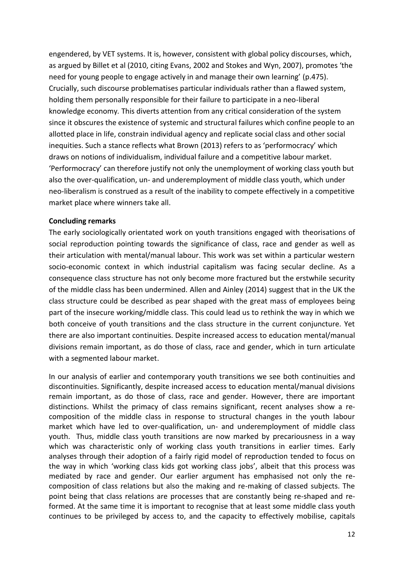engendered, by VET systems. It is, however, consistent with global policy discourses, which, as argued by Billet et al (2010, citing Evans, 2002 and Stokes and Wyn, 2007), promotes 'the need for young people to engage actively in and manage their own learning' (p.475). Crucially, such discourse problematises particular individuals rather than a flawed system, holding them personally responsible for their failure to participate in a neo-liberal knowledge economy*.* This diverts attention from any critical consideration of the system since it obscures the existence of systemic and structural failures which confine people to an allotted place in life, constrain individual agency and replicate social class and other social inequities. Such a stance reflects what Brown (2013) refers to as 'performocracy' which draws on notions of individualism, individual failure and a competitive labour market. 'Performocracy' can therefore justify not only the unemployment of working class youth but also the over-qualification, un- and underemployment of middle class youth, which under neo-liberalism is construed as a result of the inability to compete effectively in a competitive market place where winners take all.

## **Concluding remarks**

The early sociologically orientated work on youth transitions engaged with theorisations of social reproduction pointing towards the significance of class, race and gender as well as their articulation with mental/manual labour. This work was set within a particular western socio-economic context in which industrial capitalism was facing secular decline. As a consequence class structure has not only become more fractured but the erstwhile security of the middle class has been undermined. Allen and Ainley (2014) suggest that in the UK the class structure could be described as pear shaped with the great mass of employees being part of the insecure working/middle class. This could lead us to rethink the way in which we both conceive of youth transitions and the class structure in the current conjuncture. Yet there are also important continuities. Despite increased access to education mental/manual divisions remain important, as do those of class, race and gender, which in turn articulate with a segmented labour market.

In our analysis of earlier and contemporary youth transitions we see both continuities and discontinuities. Significantly, despite increased access to education mental/manual divisions remain important, as do those of class, race and gender. However, there are important distinctions. Whilst the primacy of class remains significant, recent analyses show a recomposition of the middle class in response to structural changes in the youth labour market which have led to over-qualification, un- and underemployment of middle class youth. Thus, middle class youth transitions are now marked by precariousness in a way which was characteristic only of working class youth transitions in earlier times. Early analyses through their adoption of a fairly rigid model of reproduction tended to focus on the way in which 'working class kids got working class jobs', albeit that this process was mediated by race and gender. Our earlier argument has emphasised not only the recomposition of class relations but also the making and re-making of classed subjects. The point being that class relations are processes that are constantly being re-shaped and reformed. At the same time it is important to recognise that at least some middle class youth continues to be privileged by access to, and the capacity to effectively mobilise, capitals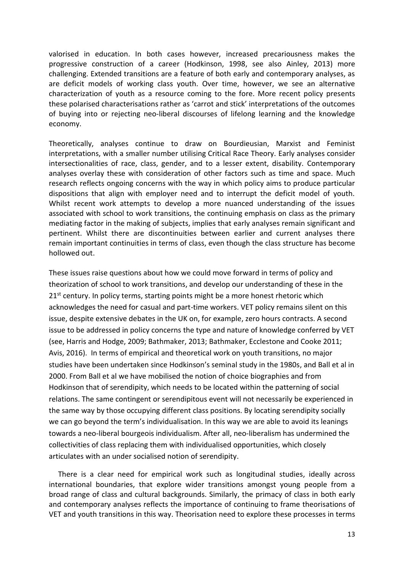valorised in education. In both cases however, increased precariousness makes the progressive construction of a career (Hodkinson, 1998, see also Ainley, 2013) more challenging. Extended transitions are a feature of both early and contemporary analyses, as are deficit models of working class youth. Over time, however, we see an alternative characterization of youth as a resource coming to the fore. More recent policy presents these polarised characterisations rather as 'carrot and stick' interpretations of the outcomes of buying into or rejecting neo-liberal discourses of lifelong learning and the knowledge economy.

Theoretically, analyses continue to draw on Bourdieusian, Marxist and Feminist interpretations, with a smaller number utilising Critical Race Theory. Early analyses consider intersectionalities of race, class, gender, and to a lesser extent, disability. Contemporary analyses overlay these with consideration of other factors such as time and space. Much research reflects ongoing concerns with the way in which policy aims to produce particular dispositions that align with employer need and to interrupt the deficit model of youth. Whilst recent work attempts to develop a more nuanced understanding of the issues associated with school to work transitions, the continuing emphasis on class as the primary mediating factor in the making of subjects, implies that early analyses remain significant and pertinent. Whilst there are discontinuities between earlier and current analyses there remain important continuities in terms of class, even though the class structure has become hollowed out.

These issues raise questions about how we could move forward in terms of policy and theorization of school to work transitions, and develop our understanding of these in the  $21<sup>st</sup>$  century. In policy terms, starting points might be a more honest rhetoric which acknowledges the need for casual and part-time workers. VET policy remains silent on this issue, despite extensive debates in the UK on, for example, zero hours contracts. A second issue to be addressed in policy concerns the type and nature of knowledge conferred by VET (see, Harris and Hodge, 2009; Bathmaker, 2013; Bathmaker, Ecclestone and Cooke 2011; Avis, 2016). In terms of empirical and theoretical work on youth transitions, no major studies have been undertaken since Hodkinson's seminal study in the 1980s, and Ball et al in 2000. From Ball et al we have mobilised the notion of choice biographies and from Hodkinson that of serendipity, which needs to be located within the patterning of social relations. The same contingent or serendipitous event will not necessarily be experienced in the same way by those occupying different class positions. By locating serendipity socially we can go beyond the term's individualisation. In this way we are able to avoid its leanings towards a neo-liberal bourgeois individualism. After all, neo-liberalism has undermined the collectivities of class replacing them with individualised opportunities, which closely articulates with an under socialised notion of serendipity.

 There is a clear need for empirical work such as longitudinal studies, ideally across international boundaries, that explore wider transitions amongst young people from a broad range of class and cultural backgrounds. Similarly, the primacy of class in both early and contemporary analyses reflects the importance of continuing to frame theorisations of VET and youth transitions in this way. Theorisation need to explore these processes in terms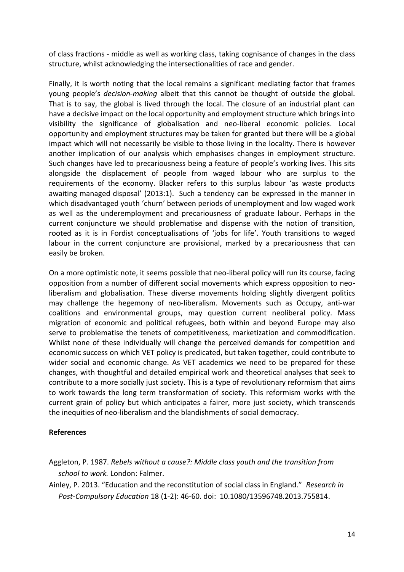of class fractions - middle as well as working class, taking cognisance of changes in the class structure, whilst acknowledging the intersectionalities of race and gender.

Finally, it is worth noting that the local remains a significant mediating factor that frames young people's *decision-making* albeit that this cannot be thought of outside the global. That is to say, the global is lived through the local. The closure of an industrial plant can have a decisive impact on the local opportunity and employment structure which brings into visibility the significance of globalisation and neo-liberal economic policies. Local opportunity and employment structures may be taken for granted but there will be a global impact which will not necessarily be visible to those living in the locality. There is however another implication of our analysis which emphasises changes in employment structure. Such changes have led to precariousness being a feature of people's working lives. This sits alongside the displacement of people from waged labour who are surplus to the requirements of the economy. Blacker refers to this surplus labour 'as waste products awaiting managed disposal' (2013:1). Such a tendency can be expressed in the manner in which disadvantaged youth 'churn' between periods of unemployment and low waged work as well as the underemployment and precariousness of graduate labour. Perhaps in the current conjuncture we should problematise and dispense with the notion of transition, rooted as it is in Fordist conceptualisations of 'jobs for life'. Youth transitions to waged labour in the current conjuncture are provisional, marked by a precariousness that can easily be broken.

On a more optimistic note, it seems possible that neo-liberal policy will run its course, facing opposition from a number of different social movements which express opposition to neoliberalism and globalisation. These diverse movements holding slightly divergent politics may challenge the hegemony of neo-liberalism. Movements such as Occupy, anti-war coalitions and environmental groups, may question current neoliberal policy. Mass migration of economic and political refugees, both within and beyond Europe may also serve to problematise the tenets of competitiveness, marketization and commodification. Whilst none of these individually will change the perceived demands for competition and economic success on which VET policy is predicated, but taken together, could contribute to wider social and economic change. As VET academics we need to be prepared for these changes, with thoughtful and detailed empirical work and theoretical analyses that seek to contribute to a more socially just society. This is a type of revolutionary reformism that aims to work towards the long term transformation of society. This reformism works with the current grain of policy but which anticipates a fairer, more just society, which transcends the inequities of neo-liberalism and the blandishments of social democracy.

## **References**

# Aggleton, P. 1987. *Rebels without a cause?: Middle class youth and the transition from school to work.* London: Falmer.

Ainley, P. 2013. "Education and the reconstitution of social class in England." Research in *Post-Compulsory Education* 18 (1-2): 46-60. doi: 10.1080/13596748.2013.755814.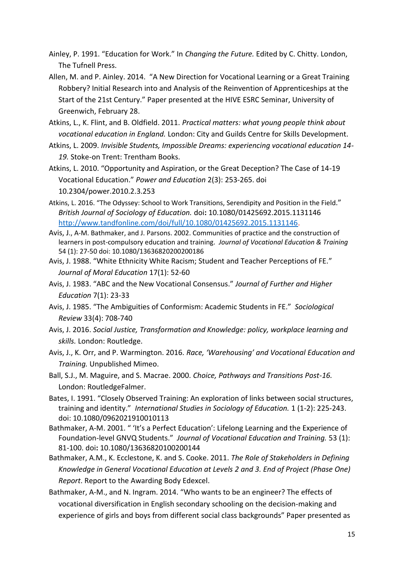Ainley, P. 1991. "Education for Work." In Changing the Future. Edited by C. Chitty. London, The Tufnell Press.

- Allen, M. and P. Ainley. 2014. "A New Direction for Vocational Learning or a Great Training Robbery? Initial Research into and Analysis of the Reinvention of Apprenticeships at the Start of the 21st Century." Paper presented at the HIVE ESRC Seminar, University of Greenwich, February 28.
- Atkins, L., K. Flint, and B. Oldfield. 2011. Practical matters: what young people think about vocational education in England. London: City and Guilds Centre for Skills Development.
- Atkins, L. 2009. Invisible Students, Impossible Dreams: experiencing vocational education 14-19. Stoke-on Trent: Trentham Books.
- Atkins, L. 2010. "Opportunity and Aspiration, or the Great Deception? The Case of 14-19 Vocational Education." Power and Education 2(3): 253-265. doi 10.2304/power.2010.2.3.253
- Atkins, L. 2016. "The Odyssey: School to Work Transitions, Serendipity and Position in the Field." British Journal of Sociology of Education. doi: 10.1080/01425692.2015.1131146 http://www.tandfonline.com/doi/full/10.1080/01425692.2015.1131146.
- Avis, J., A-M. Bathmaker, and J. Parsons. 2002. Communities of practice and the construction of learners in post-compulsory education and training. Journal of Vocational Education & Training 54 (1): 27-50 doi: 10.1080/13636820200200186
- Avis, J. 1988. "White Ethnicity White Racism; Student and Teacher Perceptions of FE." Journal of Moral Education 17(1): 52-60
- Avis, J. 1983. "ABC and the New Vocational Consensus." Journal of Further and Higher Education 7(1): 23-33
- Avis, J. 1985. "The Ambiguities of Conformism: Academic Students in FE." Sociological Review 33(4): 708-740
- Avis, J. 2016. Social Justice, Transformation and Knowledge: policy, workplace learning and skills. London: Routledge.
- Avis, J., K. Orr, and P. Warmington. 2016. Race, 'Warehousing' and Vocational Education and Training. Unpublished Mimeo.
- Ball, S.J., M. Maguire, and S. Macrae. 2000. Choice, Pathways and Transitions Post-16. London: RoutledgeFalmer.
- Bates, I. 1991. "Closely Observed Training: An exploration of links between social structures, training and identity." International Studies in Sociology of Education. 1 (1-2): 225-243. doi: 10.1080/0962021910010113
- Bathmaker, A-M. 2001. " 'It's a Perfect Education': Lifelong Learning and the Experience of Foundation-level GNVQ Students." Journal of Vocational Education and Training. 53 (1): 81-100. doi: 10.1080/13636820100200144
- Bathmaker, A.M., K. Ecclestone, K. and S. Cooke. 2011. The Role of Stakeholders in Defining Knowledge in General Vocational Education at Levels 2 and 3. End of Project (Phase One) Report. Report to the Awarding Body Edexcel.
- Bathmaker, A-M., and N. Ingram. 2014. "Who wants to be an engineer? The effects of vocational diversification in English secondary schooling on the decision-making and experience of girls and boys from different social class backgrounds" Paper presented as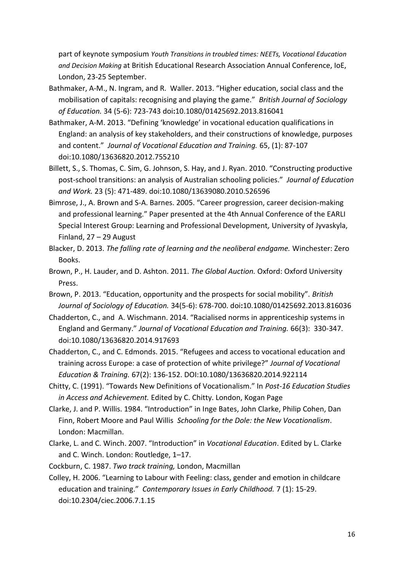part of keynote symposium Youth Transitions in troubled times: NEETs, Vocational Education and Decision Making at British Educational Research Association Annual Conference, IoE, London, 23-25 September.

- Bathmaker, A-M., N. Ingram, and R. Waller. 2013. "Higher education, social class and the mobilisation of capitals: recognising and playing the game." British Journal of Sociology of Education. 34 (5-6): 723-743 doi:10.1080/01425692.2013.816041
- Bathmaker, A-M. 2013. "Defining 'knowledge' in vocational education qualifications in England: an analysis of key stakeholders, and their constructions of knowledge, purposes and content." Journal of Vocational Education and Training. 65, (1): 87-107 doi:10.1080/13636820.2012.755210
- Billett, S., S. Thomas, C. Sim, G. Johnson, S. Hay, and J. Ryan. 2010. "Constructing productive post-school transitions: an analysis of Australian schooling policies." Journal of Education and Work. 23 (5): 471-489. doi:10.1080/13639080.2010.526596
- Bimrose, J., A. Brown and S-A. Barnes. 2005. "Career progression, career decision-making and professional learning." Paper presented at the 4th Annual Conference of the EARLI Special Interest Group: Learning and Professional Development, University of Jyvaskyla, Finland,  $27 - 29$  August
- Blacker, D. 2013. The falling rate of learning and the neoliberal endgame. Winchester: Zero Books.
- Brown, P., H. Lauder, and D. Ashton. 2011. The Global Auction. Oxford: Oxford University Press.
- Brown, P. 2013. "Education, opportunity and the prospects for social mobility". British Journal of Sociology of Education. 34(5-6): 678-700. doi:10.1080/01425692.2013.816036
- Chadderton, C., and A. Wischmann. 2014. "Racialised norms in apprenticeship systems in England and Germany." Journal of Vocational Education and Training. 66(3): 330-347. doi:10.1080/13636820.2014.917693
- Chadderton, C., and C. Edmonds. 2015. "Refugees and access to vocational education and training across Europe: a case of protection of white privilege?" Journal of Vocational Education & Training. 67(2): 136-152. DOI:10.1080/13636820.2014.922114
- Chitty, C. (1991). "Towards New Definitions of Vocationalism." In Post-16 Education Studies in Access and Achievement. Edited by C. Chitty. London, Kogan Page
- Clarke, J. and P. Willis. 1984. "Introduction" in Inge Bates, John Clarke, Philip Cohen, Dan Finn, Robert Moore and Paul Willis Schooling for the Dole: the New Vocationalism. London: Macmillan.
- Clarke, L. and C. Winch. 2007. "Introduction" in Vocational Education. Edited by L. Clarke and C. Winch. London: Routledge, 1-17.
- Cockburn, C. 1987. Two track training, London, Macmillan
- Colley, H. 2006. "Learning to Labour with Feeling: class, gender and emotion in childcare education and training." Contemporary Issues in Early Childhood. 7 (1): 15-29. doi:10.2304/ciec.2006.7.1.15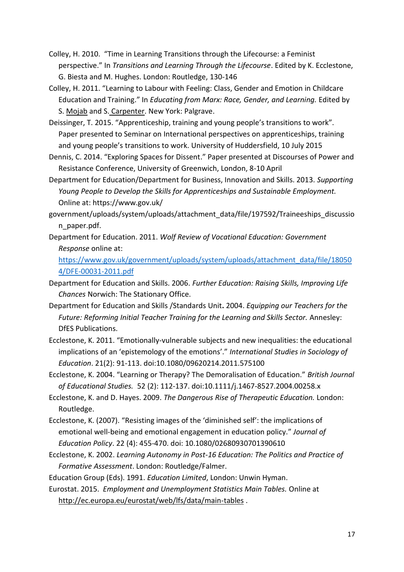- Colley, H. 2010. "Time in Learning Transitions through the Lifecourse: a Feminist perspective." In *Transitions and Learning Through the Lifecourse*. Edited by K. Ecclestone, G. Biesta and M. Hughes. London: Routledge, 130-146
- Colley, H. 2011. "Learning to Labour with Feeling: Class, Gender and Emotion in Childcare [Education and Training.](http://eprints.hud.ac.uk/12675)<sup>"</sup> In *Educating from Marx: Race, Gender, and Learning*. Edited by S. [Mojab](http://www.amazon.com/s/ref=dp_byline_sr_book_1?ie=UTF8&field-author=Shahrzad+Mojab&search-alias=books&text=Shahrzad+Mojab&sort=relevancerank) and S[. Carpenter.](http://www.amazon.com/s/ref=dp_byline_sr_book_2?ie=UTF8&field-author=Sara+Carpenter&search-alias=books&text=Sara+Carpenter&sort=relevancerank) New York: Palgrave.
- Deissinger, T. 2015. "Apprenticeship, training and young people's transitions to work". Paper presented to Seminar on International perspectives on apprenticeships, training and young people's transitions to work. University of Huddersfield, 10 July 2015
- Dennis, C. 2014. "Exploring Spaces for Dissent." Paper presented at Discourses of Power and Resistance Conference, University of Greenwich, London, 8-10 April
- Department for Education/Department for Business, Innovation and Skills. 2013. *Supporting Young People to Develop the Skills for Apprenticeships and Sustainable Employment.* Online at: https://www.gov.uk/
- government/uploads/system/uploads/attachment\_data/file/197592/Traineeships\_discussio n\_paper.pdf.
- Department for Education. 2011. *Wolf Review of Vocational Education: Government Response* online at:

[https://www.gov.uk/government/uploads/system/uploads/attachment\\_data/file/18050](https://www.gov.uk/government/uploads/system/uploads/attachment_data/file/180504/DFE-00031-2011.pdf) [4/DFE-00031-2011.pdf](https://www.gov.uk/government/uploads/system/uploads/attachment_data/file/180504/DFE-00031-2011.pdf) 

- Department for Education and Skills. 2006. *Further Education: Raising Skills, Improving Life Chances* Norwich: The Stationary Office.
- Department for Education and Skills /Standards Unit**.** 2004. *Equipping our Teachers for the Future: Reforming Initial Teacher Training for the Learning and Skills Sector.* Annesley: DfES Publications.
- Ecclestone, K. 2011. "Emotionally-vulnerable subjects and new inequalities: the educational implications of an 'epistemology of the emotions'.<sup>*"*</sup> International Studies in Sociology of *Education*. 21(2): 91-113. doi:10.1080/09620214.2011.575100
- Ecclestone, K. 2004. "Learning or Therapy? The Demoralisation of Education." British Journal *of Educational Studies.* 52 (2): 112-137. doi:10.1111/j.1467-8527.2004.00258.x
- Ecclestone, K. and D. Hayes. 2009. *The Dangerous Rise of Therapeutic Education.* London: Routledge.
- Ecclestone, K. (2007). "Resisting images of the 'diminished self': the implications of emotional well-being and emotional engagement in education policy.͟ *Journal of Education Policy*. 22 (4): 455-470. doi: 10.1080/02680930701390610
- Ecclestone, K. 2002. *Learning Autonomy in Post-16 Education: The Politics and Practice of Formative Assessment*. London: Routledge/Falmer.

Education Group (Eds). 1991. *Education Limited*, London: Unwin Hyman.

Eurostat. 2015. *Employment and Unemployment Statistics Main Tables.* Online at <http://ec.europa.eu/eurostat/web/lfs/data/main-tables>.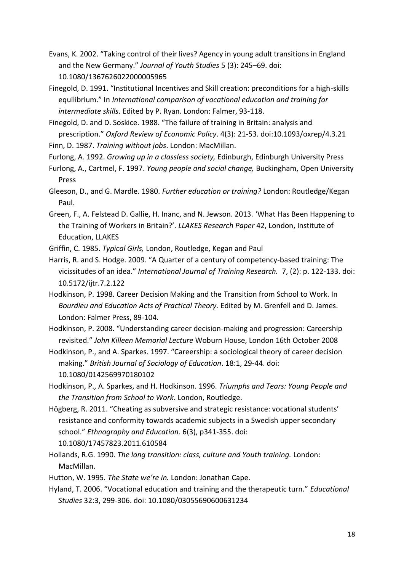Evans, K. 2002. "Taking control of their lives? Agency in young adult transitions in England and the New Germany." Journal of Youth Studies 5 (3): 245-69. doi: 10.1080/1367626022000005965

Finegold, D. 1991. "Institutional Incentives and Skill creation: preconditions for a high-skills equilibrium." In International comparison of vocational education and training for intermediate skills. Edited by P. Ryan. London: Falmer, 93-118.

- Finegold, D. and D. Soskice. 1988. "The failure of training in Britain: analysis and prescription." Oxford Review of Economic Policy. 4(3): 21-53. doi:10.1093/oxrep/4.3.21
- Finn, D. 1987. Training without jobs. London: MacMillan.
- Furlong, A. 1992. Growing up in a classless society, Edinburgh, Edinburgh University Press
- Furlong, A., Cartmel, F. 1997. Young people and social change, Buckingham, Open University Press
- Gleeson, D., and G. Mardle. 1980. Further education or training? London: Routledge/Kegan Paul.

Green, F., A. Felstead D. Gallie, H. Inanc, and N. Jewson. 2013. 'What Has Been Happening to the Training of Workers in Britain?'. LLAKES Research Paper 42, London, Institute of **Education, LLAKES** 

Griffin, C. 1985. Typical Girls, London, Routledge, Kegan and Paul

Harris, R. and S. Hodge. 2009. "A Quarter of a century of competency-based training: The vicissitudes of an idea." International Journal of Training Research. 7, (2): p. 122-133. doi: 10.5172/ijtr.7.2.122

Hodkinson, P. 1998. Career Decision Making and the Transition from School to Work. In Bourdieu and Education Acts of Practical Theory. Edited by M. Grenfell and D. James. London: Falmer Press, 89-104.

Hodkinson, P. 2008. "Understanding career decision-making and progression: Careership revisited." John Killeen Memorial Lecture Woburn House, London 16th October 2008

Hodkinson, P., and A. Sparkes. 1997. "Careership: a sociological theory of career decision making." British Journal of Sociology of Education. 18:1, 29-44. doi: 10.1080/0142569970180102

Hodkinson, P., A. Sparkes, and H. Hodkinson. 1996. Triumphs and Tears: Young People and the Transition from School to Work. London, Routledge.

Högberg, R. 2011. "Cheating as subversive and strategic resistance: vocational students' resistance and conformity towards academic subjects in a Swedish upper secondary school." Ethnography and Education. 6(3), p341-355. doi: 10.1080/17457823.2011.610584

Hollands, R.G. 1990. The long transition: class, culture and Youth training. London: MacMillan.

- Hutton, W. 1995. The State we're in. London: Jonathan Cape.
- Hyland, T. 2006. "Vocational education and training and the therapeutic turn." Educational Studies 32:3, 299-306. doi: 10.1080/03055690600631234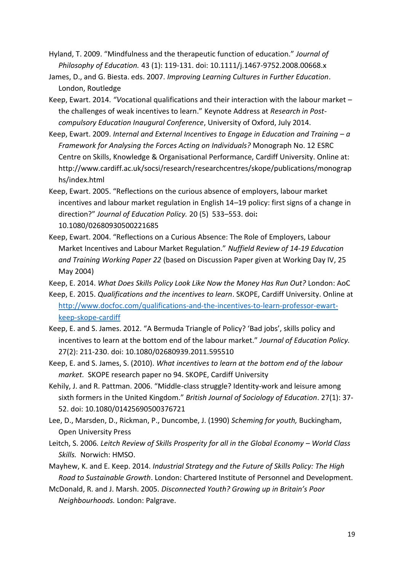Hyland, T. 2009. "Mindfulness and the therapeutic function of education." Journal of Philosophy of Education. 43 (1): 119-131. doi: 10.1111/j.1467-9752.2008.00668.x

- James, D., and G. Biesta. eds. 2007. Improving Learning Cultures in Further Education. London, Routledge
- Keep, Ewart. 2014. "Vocational qualifications and their interaction with the labour market the challenges of weak incentives to learn." Keynote Address at Research in Postcompulsory Education Inaugural Conference, University of Oxford, July 2014.
- Keep, Ewart. 2009. Internal and External Incentives to Engage in Education and Training  $-a$ Framework for Analysing the Forces Acting on Individuals? Monograph No. 12 ESRC Centre on Skills, Knowledge & Organisational Performance, Cardiff University. Online at: http://www.cardiff.ac.uk/socsi/research/researchcentres/skope/publications/monograp hs/index.html
- Keep, Ewart. 2005. "Reflections on the curious absence of employers, labour market incentives and labour market regulation in English 14-19 policy: first signs of a change in direction?" Journal of Education Policy. 20 (5) 533-553. doi: 10.1080/02680930500221685
- Keep, Ewart. 2004. "Reflections on a Curious Absence: The Role of Employers, Labour Market Incentives and Labour Market Regulation." Nuffield Review of 14-19 Education and Training Working Paper 22 (based on Discussion Paper given at Working Day IV, 25 May 2004)

Keep, E. 2014. What Does Skills Policy Look Like Now the Money Has Run Out? London: AoC

- Keep, E. 2015. Qualifications and the incentives to learn. SKOPE, Cardiff University. Online at http://www.docfoc.com/qualifications-and-the-incentives-to-learn-professor-ewartkeep-skope-cardiff
- Keep, E. and S. James. 2012. "A Bermuda Triangle of Policy? 'Bad jobs', skills policy and incentives to learn at the bottom end of the labour market." Journal of Education Policy. 27(2): 211-230. doi: 10.1080/02680939.2011.595510
- Keep, E. and S. James, S. (2010). What incentives to learn at the bottom end of the labour market. SKOPE research paper no 94. SKOPE, Cardiff University
- Kehily, J. and R. Pattman. 2006. "Middle-class struggle? Identity-work and leisure among sixth formers in the United Kingdom." British Journal of Sociology of Education. 27(1): 37-52. doi: 10.1080/01425690500376721
- Lee, D., Marsden, D., Rickman, P., Duncombe, J. (1990) Scheming for youth, Buckingham, **Open University Press**
- Leitch, S. 2006. Leitch Review of Skills Prosperity for all in the Global Economy World Class Skills. Norwich: HMSO.

Mayhew, K. and E. Keep. 2014. Industrial Strategy and the Future of Skills Policy: The High Road to Sustainable Growth. London: Chartered Institute of Personnel and Development.

McDonald, R. and J. Marsh. 2005. Disconnected Youth? Growing up in Britain's Poor Neighbourhoods. London: Palgrave.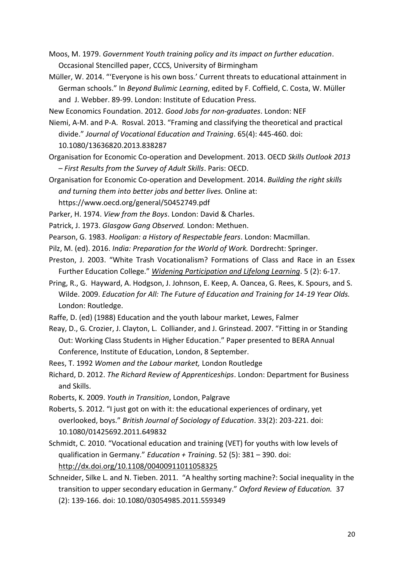Moos, M. 1979. Government Youth training policy and its impact on further education. Occasional Stencilled paper, CCCS, University of Birmingham

Müller, W. 2014. "'Everyone is his own boss.' Current threats to educational attainment in German schools." In Beyond Bulimic Learning, edited by F. Coffield, C. Costa, W. Müller and J. Webber. 89-99. London: Institute of Education Press.

New Economics Foundation. 2012. Good Jobs for non-graduates. London: NEF

Niemi, A-M. and P-A. Rosval. 2013. "Framing and classifying the theoretical and practical divide." Journal of Vocational Education and Training. 65(4): 445-460. doi: 10.1080/13636820.2013.838287

Organisation for Economic Co-operation and Development. 2013. OECD Skills Outlook 2013 - First Results from the Survey of Adult Skills. Paris: OECD.

Organisation for Economic Co-operation and Development. 2014. Building the right skills and turning them into better jobs and better lives. Online at: https://www.oecd.org/general/50452749.pdf

Parker, H. 1974. View from the Boys. London: David & Charles.

Patrick, J. 1973. Glasgow Gang Observed. London: Methuen.

Pearson, G. 1983. Hooligan: a History of Respectable fears. London: Macmillan.

Pilz, M. (ed). 2016. India: Preparation for the World of Work. Dordrecht: Springer.

Preston, J. 2003. "White Trash Vocationalism? Formations of Class and Race in an Essex Further Education College." Widening Participation and Lifelong Learning. 5 (2): 6-17.

Pring, R., G. Hayward, A. Hodgson, J. Johnson, E. Keep, A. Oancea, G. Rees, K. Spours, and S. Wilde. 2009. Education for All: The Future of Education and Training for 14-19 Year Olds. London: Routledge.

Raffe, D. (ed) (1988) Education and the youth labour market, Lewes, Falmer

Reay, D., G. Crozier, J. Clayton, L. Colliander, and J. Grinstead. 2007. "Fitting in or Standing Out: Working Class Students in Higher Education." Paper presented to BERA Annual Conference, Institute of Education, London, 8 September.

Rees, T. 1992 Women and the Labour market, London Routledge

Richard, D. 2012. The Richard Review of Apprenticeships. London: Department for Business and Skills.

Roberts, K. 2009. Youth in Transition, London, Palgrave

Roberts, S. 2012. "I just got on with it: the educational experiences of ordinary, yet overlooked, boys." British Journal of Sociology of Education. 33(2): 203-221. doi: 10.1080/01425692.2011.649832

Schmidt, C. 2010. "Vocational education and training (VET) for youths with low levels of qualification in Germany." Education + Training. 52 (5): 381 - 390. doi: http://dx.doi.org/10.1108/00400911011058325

Schneider, Silke L. and N. Tieben. 2011. "A healthy sorting machine?: Social inequality in the transition to upper secondary education in Germany." Oxford Review of Education. 37 (2): 139-166. doi: 10.1080/03054985.2011.559349